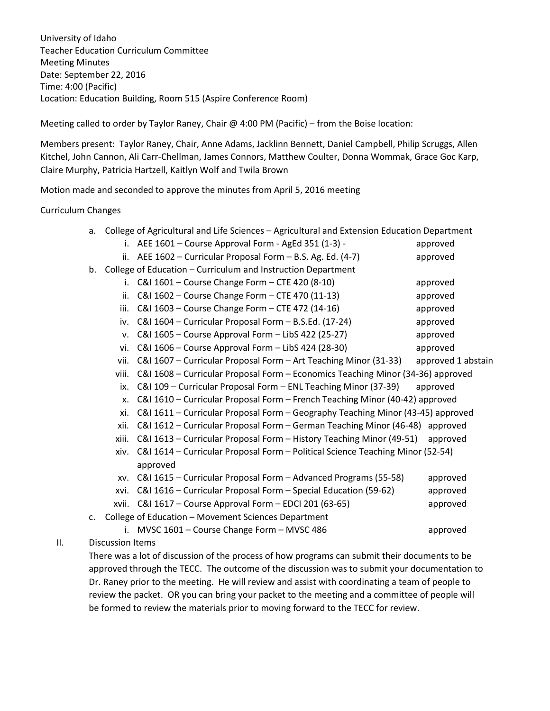University of Idaho Teacher Education Curriculum Committee Meeting Minutes Date: September 22, 2016 Time: 4:00 (Pacific) Location: Education Building, Room 515 (Aspire Conference Room)

Meeting called to order by Taylor Raney, Chair  $@$  4:00 PM (Pacific) – from the Boise location:

Members present: Taylor Raney, Chair, Anne Adams, Jacklinn Bennett, Daniel Campbell, Philip Scruggs, Allen Kitchel, John Cannon, Ali Carr-Chellman, James Connors, Matthew Coulter, Donna Wommak, Grace Goc Karp, Claire Murphy, Patricia Hartzell, Kaitlyn Wolf and Twila Brown

Motion made and seconded to approve the minutes from April 5, 2016 meeting

Curriculum Changes

|     | a. College of Agricultural and Life Sciences - Agricultural and Extension Education Department |                                                                                     |                    |  |
|-----|------------------------------------------------------------------------------------------------|-------------------------------------------------------------------------------------|--------------------|--|
|     |                                                                                                | i. AEE 1601 - Course Approval Form - AgEd 351 (1-3) -                               | approved           |  |
|     |                                                                                                | ii. AEE $1602$ – Curricular Proposal Form – B.S. Ag. Ed. (4-7)                      | approved           |  |
|     |                                                                                                | b. College of Education - Curriculum and Instruction Department                     |                    |  |
|     |                                                                                                | i. C&I 1601 - Course Change Form - CTE 420 (8-10)                                   | approved           |  |
|     |                                                                                                | ii. C&I 1602 - Course Change Form - CTE 470 (11-13)                                 | approved           |  |
|     | iii.                                                                                           | C&I 1603 - Course Change Form - CTE 472 (14-16)                                     | approved           |  |
|     |                                                                                                | iv. C&I 1604 - Curricular Proposal Form - B.S.Ed. (17-24)                           | approved           |  |
|     |                                                                                                | v. C&I 1605 - Course Approval Form - LibS 422 (25-27)                               | approved           |  |
|     |                                                                                                | vi. C&I 1606 - Course Approval Form - LibS 424 (28-30)                              | approved           |  |
|     | vii.                                                                                           | C&I 1607 - Curricular Proposal Form - Art Teaching Minor (31-33)                    | approved 1 abstain |  |
|     | viii.                                                                                          | C&I 1608 - Curricular Proposal Form - Economics Teaching Minor (34-36) approved     |                    |  |
|     | ix.                                                                                            | C&I 109 - Curricular Proposal Form - ENL Teaching Minor (37-39)                     | approved           |  |
|     | X.                                                                                             | C&I 1610 - Curricular Proposal Form - French Teaching Minor (40-42) approved        |                    |  |
|     | xi.                                                                                            | C&I 1611 - Curricular Proposal Form - Geography Teaching Minor (43-45) approved     |                    |  |
|     | xii.                                                                                           | C&I 1612 - Curricular Proposal Form - German Teaching Minor (46-48) approved        |                    |  |
|     | xiii.                                                                                          | C&I 1613 - Curricular Proposal Form - History Teaching Minor (49-51)                | approved           |  |
|     |                                                                                                | xiv. C&I 1614 - Curricular Proposal Form - Political Science Teaching Minor (52-54) |                    |  |
|     |                                                                                                | approved                                                                            |                    |  |
|     | XV.                                                                                            | C&I 1615 - Curricular Proposal Form - Advanced Programs (55-58)                     | approved           |  |
|     | xvi.                                                                                           | C&I 1616 - Curricular Proposal Form - Special Education (59-62)                     | approved           |  |
|     |                                                                                                | xvii. C&I 1617 - Course Approval Form - EDCI 201 (63-65)                            | approved           |  |
|     |                                                                                                | c. College of Education - Movement Sciences Department                              |                    |  |
|     | i.                                                                                             | MVSC 1601 - Course Change Form - MVSC 486                                           | approved           |  |
| ΙΙ. | <b>Discussion Items</b>                                                                        |                                                                                     |                    |  |

There was a lot of discussion of the process of how programs can submit their documents to be approved through the TECC. The outcome of the discussion was to submit your documentation to Dr. Raney prior to the meeting. He will review and assist with coordinating a team of people to review the packet. OR you can bring your packet to the meeting and a committee of people will be formed to review the materials prior to moving forward to the TECC for review.